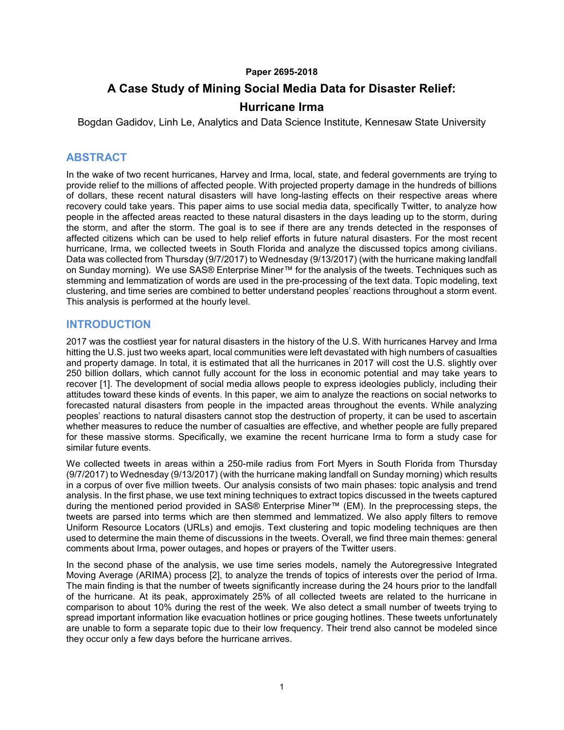#### **Paper 2695-2018**

## **A Case Study of Mining Social Media Data for Disaster Relief:**

### **Hurricane Irma**

Bogdan Gadidov, Linh Le, Analytics and Data Science Institute, Kennesaw State University

### **ABSTRACT**

In the wake of two recent hurricanes, Harvey and Irma, local, state, and federal governments are trying to provide relief to the millions of affected people. With projected property damage in the hundreds of billions of dollars, these recent natural disasters will have long-lasting effects on their respective areas where recovery could take years. This paper aims to use social media data, specifically Twitter, to analyze how people in the affected areas reacted to these natural disasters in the days leading up to the storm, during the storm, and after the storm. The goal is to see if there are any trends detected in the responses of affected citizens which can be used to help relief efforts in future natural disasters. For the most recent hurricane, Irma, we collected tweets in South Florida and analyze the discussed topics among civilians. Data was collected from Thursday (9/7/2017) to Wednesday (9/13/2017) (with the hurricane making landfall on Sunday morning). We use SAS® Enterprise Miner™ for the analysis of the tweets. Techniques such as stemming and lemmatization of words are used in the pre-processing of the text data. Topic modeling, text clustering, and time series are combined to better understand peoples' reactions throughout a storm event. This analysis is performed at the hourly level.

### **INTRODUCTION**

2017 was the costliest year for natural disasters in the history of the U.S. With hurricanes Harvey and Irma hitting the U.S. just two weeks apart, local communities were left devastated with high numbers of casualties and property damage. In total, it is estimated that all the hurricanes in 2017 will cost the U.S. slightly over 250 billion dollars, which cannot fully account for the loss in economic potential and may take years to recover [\[1\].](#page-8-0) The development of social media allows people to express ideologies publicly, including their attitudes toward these kinds of events. In this paper, we aim to analyze the reactions on social networks to forecasted natural disasters from people in the impacted areas throughout the events. While analyzing peoples' reactions to natural disasters cannot stop the destruction of property, it can be used to ascertain whether measures to reduce the number of casualties are effective, and whether people are fully prepared for these massive storms. Specifically, we examine the recent hurricane Irma to form a study case for similar future events.

We collected tweets in areas within a 250-mile radius from Fort Myers in South Florida from Thursday (9/7/2017) to Wednesday (9/13/2017) (with the hurricane making landfall on Sunday morning) which results in a corpus of over five million tweets. Our analysis consists of two main phases: topic analysis and trend analysis. In the first phase, we use text mining techniques to extract topics discussed in the tweets captured during the mentioned period provided in SAS® Enterprise Miner™ (EM). In the preprocessing steps, the tweets are parsed into terms which are then stemmed and lemmatized. We also apply filters to remove Uniform Resource Locators (URLs) and emojis. Text clustering and topic modeling techniques are then used to determine the main theme of discussions in the tweets. Overall, we find three main themes: general comments about Irma, power outages, and hopes or prayers of the Twitter users.

In the second phase of the analysis, we use time series models, namely the Autoregressive Integrated Moving Average (ARIMA) process [\[2\],](#page-8-1) to analyze the trends of topics of interests over the period of Irma. The main finding is that the number of tweets significantly increase during the 24 hours prior to the landfall of the hurricane. At its peak, approximately 25% of all collected tweets are related to the hurricane in comparison to about 10% during the rest of the week. We also detect a small number of tweets trying to spread important information like evacuation hotlines or price gouging hotlines. These tweets unfortunately are unable to form a separate topic due to their low frequency. Their trend also cannot be modeled since they occur only a few days before the hurricane arrives.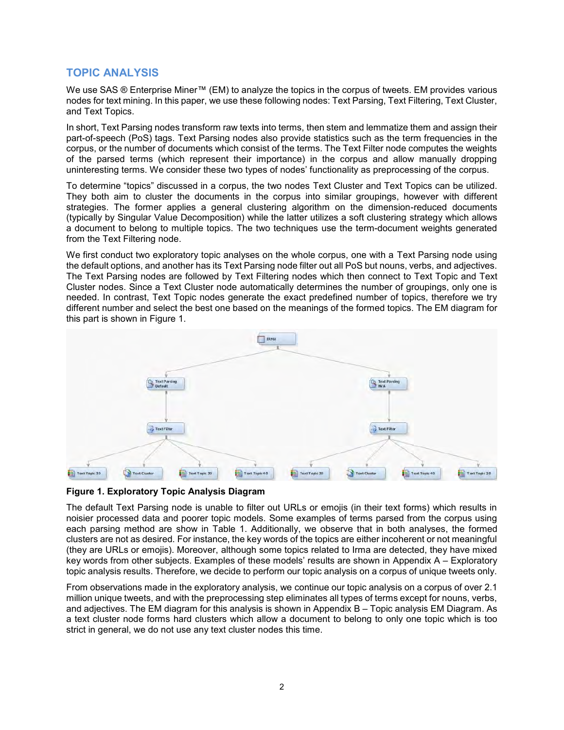### **TOPIC ANALYSIS**

We use SAS ® Enterprise Miner™ (EM) to analyze the topics in the corpus of tweets. EM provides various nodes for text mining. In this paper, we use these following nodes: Text Parsing, Text Filtering, Text Cluster, and Text Topics.

In short, Text Parsing nodes transform raw texts into terms, then stem and lemmatize them and assign their part-of-speech (PoS) tags. Text Parsing nodes also provide statistics such as the term frequencies in the corpus, or the number of documents which consist of the terms. The Text Filter node computes the weights of the parsed terms (which represent their importance) in the corpus and allow manually dropping uninteresting terms. We consider these two types of nodes' functionality as preprocessing of the corpus.

To determine "topics" discussed in a corpus, the two nodes Text Cluster and Text Topics can be utilized. They both aim to cluster the documents in the corpus into similar groupings, however with different strategies. The former applies a general clustering algorithm on the dimension-reduced documents (typically by Singular Value Decomposition) while the latter utilizes a soft clustering strategy which allows a document to belong to multiple topics. The two techniques use the term-document weights generated from the Text Filtering node.

We first conduct two exploratory topic analyses on the whole corpus, one with a Text Parsing node using the default options, and another has its Text Parsing node filter out all PoS but nouns, verbs, and adjectives. The Text Parsing nodes are followed by Text Filtering nodes which then connect to Text Topic and Text Cluster nodes. Since a Text Cluster node automatically determines the number of groupings, only one is needed. In contrast, Text Topic nodes generate the exact predefined number of topics, therefore we try different number and select the best one based on the meanings of the formed topics. The EM diagram for this part is shown in [Figure 1.](#page-1-0)



<span id="page-1-0"></span>**Figure 1. Exploratory Topic Analysis Diagram**

The default Text Parsing node is unable to filter out URLs or emojis (in their text forms) which results in noisier processed data and poorer topic models. Some examples of terms parsed from the corpus using each parsing method are show in [Table 1.](#page-2-0) Additionally, we observe that in both analyses, the formed clusters are not as desired. For instance, the key words of the topics are either incoherent or not meaningful (they are URLs or emojis). Moreover, although some topics related to Irma are detected, they have mixed key words from other subjects. Examples of these models' results are shown in [Appendix A –](#page-9-0) Exploratory [topic analysis results.](#page-9-0) Therefore, we decide to perform our topic analysis on a corpus of unique tweets only.

From observations made in the exploratory analysis, we continue our topic analysis on a corpus of over 2.1 million unique tweets, and with the preprocessing step eliminates all types of terms except for nouns, verbs, and adjectives. The EM diagram for this analysis is shown in Appendix B – [Topic analysis EM Diagram.](#page-10-0) As a text cluster node forms hard clusters which allow a document to belong to only one topic which is too strict in general, we do not use any text cluster nodes this time.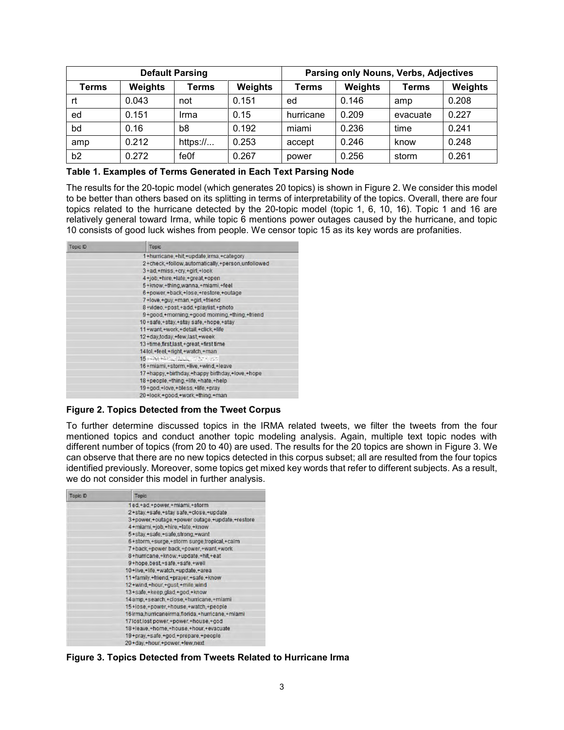| <b>Default Parsing</b> |                |                |                | Parsing only Nouns, Verbs, Adjectives |         |          |                |
|------------------------|----------------|----------------|----------------|---------------------------------------|---------|----------|----------------|
| Terms                  | <b>Weights</b> | Terms          | <b>Weights</b> | Terms                                 | Weights | Terms    | <b>Weights</b> |
| rt                     | 0.043          | not            | 0.151          | ed                                    | 0.146   | amp      | 0.208          |
| ed                     | 0.151          | Irma           | 0.15           | hurricane                             | 0.209   | evacuate | 0.227          |
| bd                     | 0.16           | b <sub>8</sub> | 0.192          | miami                                 | 0.236   | time     | 0.241          |
| amp                    | 0.212          | https://       | 0.253          | accept                                | 0.246   | know     | 0.248          |
| b2                     | 0.272          | fe0f           | 0.267          | power                                 | 0.256   | storm    | 0.261          |

#### <span id="page-2-0"></span>**Table 1. Examples of Terms Generated in Each Text Parsing Node**

The results for the 20-topic model (which generates 20 topics) is shown in [Figure 2.](#page-2-1) We consider this model to be better than others based on its splitting in terms of interpretability of the topics. Overall, there are four topics related to the hurricane detected by the 20-topic model (topic 1, 6, 10, 16). Topic 1 and 16 are relatively general toward Irma, while topic 6 mentions power outages caused by the hurricane, and topic 10 consists of good luck wishes from people. We censor topic 15 as its key words are profanities.

| <b>Topic ID</b> | <b>Topic</b>                                     |
|-----------------|--------------------------------------------------|
|                 | 1+hurricane,+hit,+update,irma,+category          |
|                 | 2+check.+follow.automatically.+person.unfollowed |
|                 | 3+ad,+miss,+cry,+girl,+look                      |
|                 | 4+job,+hire,+late,+great,+open                   |
|                 | 5+know,+thing,wanna,+miami,+feel                 |
|                 | 6+power.+back.+lose.+restore.+outage             |
|                 | 7+love,+guy,+man,+girl,+friend                   |
|                 | 8+video.+post.+add.+playlist.+photo              |
|                 | 9+good,+morning,+good morning,+thing,+friend     |
|                 | 10+safe,+stay,+stay safe,+hope,+stay             |
|                 | 11+want,+work,+detail,+click,+life               |
|                 | 12+day.today.+few.last.+week                     |
|                 | 13+time,first,last,+great,+first time            |
|                 | 14 lol, +feel, +right, +watch, +man              |
|                 | 15 (SMITH) REALLY PATHING                        |
|                 | 16+miami,+storm,+live,+wind,+leave               |
|                 | 17+happy,+birthday,+happy birthday,+love,+hope   |
|                 | 18+people,+thing,+life,+hate,+help               |
|                 | 19+god.+love.+bless.+life.+pray                  |
|                 | 20+look,+good,+work,+thing,+man                  |

<span id="page-2-1"></span>**Figure 2. Topics Detected from the Tweet Corpus**

To further determine discussed topics in the IRMA related tweets, we filter the tweets from the four mentioned topics and conduct another topic modeling analysis. Again, multiple text topic nodes with different number of topics (from 20 to 40) are used. The results for the 20 topics are shown in [Figure 3.](#page-2-2) We can observe that there are no new topics detected in this corpus subset; all are resulted from the four topics identified previously. Moreover, some topics get mixed key words that refer to different subjects. As a result, we do not consider this model in further analysis.

| Topic ID | Topic                                                 |
|----------|-------------------------------------------------------|
|          | 1ed.+ad.+power.+miami.+storm                          |
|          | 2+stay,+safe,+stay safe,+close,+update                |
|          | 3+power,+outage,+power outage,+update,+restore        |
|          | 4+miami,+job,+hire,+late,+know                        |
|          | 5+stay,+safe,+safe,strong,+want                       |
|          | 6+storm,+surge,+storm surge,tropical,+calm            |
|          | 7+back,+power back,+power,+want,+work                 |
|          | 8+hurricane,+know,+update,+hit,+eat                   |
|          | 9+hope.best.+safe.+safe.+well                         |
|          | 10+live,+life,+watch,+update,+area                    |
|          | 11+family,+friend,+prayer,+safe,+know                 |
|          | 12+wind.+hour.+gust.+mile.wind                        |
|          | 13+safe.+keep.glad.+god.+know                         |
|          | 14 amp, +search, +close, +hurricane, +miami           |
|          | 15+lose,+power,+house,+watch,+people                  |
|          | 16 irma, hurricaneirma, florida, + hurricane, + miami |
|          | 17lost, lost power, +power, +house, +god              |
|          | 18+leave,+home,+house,+hour,+evacuate                 |
|          | 19+pray,+safe,+god,+prepare,+people                   |
|          | 20+day,+hour,+power,+few,next                         |

<span id="page-2-2"></span>**Figure 3. Topics Detected from Tweets Related to Hurricane Irma**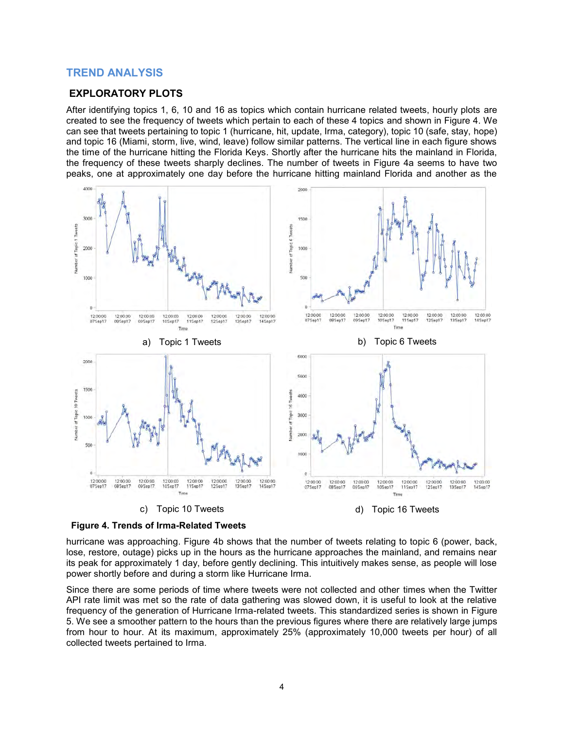### **TREND ANALYSIS**

#### **EXPLORATORY PLOTS**

After identifying topics 1, 6, 10 and 16 as topics which contain hurricane related tweets, hourly plots are created to see the frequency of tweets which pertain to each of these 4 topics and shown in [Figure 4.](#page-3-0) We can see that tweets pertaining to topic 1 (hurricane, hit, update, Irma, category), topic 10 (safe, stay, hope) and topic 16 (Miami, storm, live, wind, leave) follow similar patterns. The vertical line in each figure shows the time of the hurricane hitting the Florida Keys. Shortly after the hurricane hits the mainland in Florida, the frequency of these tweets sharply declines. The number of tweets in Figure 4a seems to have two peaks, one at approximately one day before the hurricane hitting mainland Florida and another as the



<span id="page-3-0"></span>

hurricane was approaching. Figure 4b shows that the number of tweets relating to topic 6 (power, back, lose, restore, outage) picks up in the hours as the hurricane approaches the mainland, and remains near its peak for approximately 1 day, before gently declining. This intuitively makes sense, as people will lose power shortly before and during a storm like Hurricane Irma.

Since there are some periods of time where tweets were not collected and other times when the Twitter API rate limit was met so the rate of data gathering was slowed down, it is useful to look at the relative frequency of the generation of Hurricane Irma-related tweets. This standardized series is shown in [Figure](#page-4-0)  [5.](#page-4-0) We see a smoother pattern to the hours than the previous figures where there are relatively large jumps from hour to hour. At its maximum, approximately 25% (approximately 10,000 tweets per hour) of all collected tweets pertained to Irma.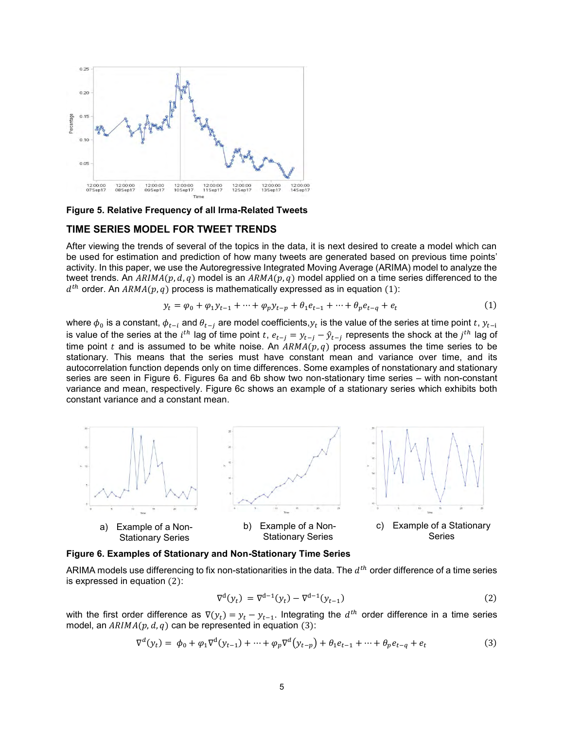

<span id="page-4-0"></span>**Figure 5. Relative Frequency of all Irma-Related Tweets**

#### **TIME SERIES MODEL FOR TWEET TRENDS**

After viewing the trends of several of the topics in the data, it is next desired to create a model which can be used for estimation and prediction of how many tweets are generated based on previous time points' activity. In this paper, we use the Autoregressive Integrated Moving Average (ARIMA) model to analyze the tweet trends. An  $ARIMA(p, d, q)$  model is an  $ARMA(p, q)$  model applied on a time series differenced to the  $d^{th}$  order. An  $ARMA(p, q)$  process is mathematically expressed as in equation (1):

$$
y_t = \varphi_0 + \varphi_1 y_{t-1} + \dots + \varphi_p y_{t-p} + \theta_1 e_{t-1} + \dots + \theta_p e_{t-q} + e_t
$$
 (1)

where  $\phi_0$  is a constant,  $\phi_{t-i}$  and  $\theta_{t-j}$  are model coefficients, $y_t$  is the value of the series at time point  $t$ ,  $y_{t-i}$ is value of the series at the  $i^{th}$  lag of time point  $t$ ,  $e_{t-j}=y_{t-j}-\hat{y}_{t-j}$  represents the shock at the  $j^{th}$  lag of time point t and is assumed to be white noise. An  $ARMA(p, q)$  process assumes the time series to be stationary. This means that the series must have constant mean and variance over time, and its autocorrelation function depends only on time differences. Some examples of nonstationary and stationary series are seen in [Figure 6.](#page-4-1) Figures 6a and 6b show two non-stationary time series – with non-constant variance and mean, respectively. Figure 6c shows an example of a stationary series which exhibits both constant variance and a constant mean.



#### <span id="page-4-1"></span>**Figure 6. Examples of Stationary and Non-Stationary Time Series**

ARIMA models use differencing to fix non-stationarities in the data. The  $d^{th}$  order difference of a time series is expressed in equation (2):

$$
\nabla^{d}(y_{t}) = \nabla^{d-1}(y_{t}) - \nabla^{d-1}(y_{t-1})
$$
\n(2)

with the first order difference as  $\nabla(y_t) = y_t - y_{t-1}$ . Integrating the  $d^{th}$  order difference in a time series model, an  $ARIMA(p, d, q)$  can be represented in equation (3):

$$
\nabla^{d}(y_{t}) = \phi_{0} + \varphi_{1} \nabla^{d}(y_{t-1}) + \dots + \varphi_{p} \nabla^{d}(y_{t-p}) + \theta_{1} e_{t-1} + \dots + \theta_{p} e_{t-q} + e_{t}
$$
\n(3)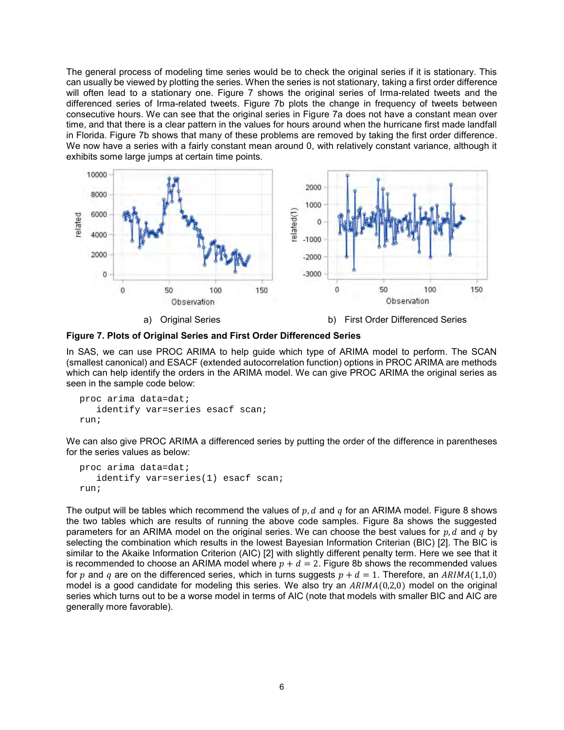The general process of modeling time series would be to check the original series if it is stationary. This can usually be viewed by plotting the series. When the series is not stationary, taking a first order difference will often lead to a stationary one. [Figure 7](#page-5-0) shows the original series of Irma-related tweets and the differenced series of Irma-related tweets. Figure 7b plots the change in frequency of tweets between consecutive hours. We can see that the original series in Figure 7a does not have a constant mean over time, and that there is a clear pattern in the values for hours around when the hurricane first made landfall in Florida. Figure 7b shows that many of these problems are removed by taking the first order difference. We now have a series with a fairly constant mean around 0, with relatively constant variance, although it exhibits some large jumps at certain time points.



<span id="page-5-0"></span>**Figure 7. Plots of Original Series and First Order Differenced Series**

In SAS, we can use PROC ARIMA to help guide which type of ARIMA model to perform. The SCAN (smallest canonical) and ESACF (extended autocorrelation function) options in PROC ARIMA are methods which can help identify the orders in the ARIMA model. We can give PROC ARIMA the original series as seen in the sample code below:

```
proc arima data=dat;
   identify var=series esacf scan;
run;
```
We can also give PROC ARIMA a differenced series by putting the order of the difference in parentheses for the series values as below:

```
proc arima data=dat;
   identify var=series(1) esacf scan;
run;
```
The output will be tables which recommend the values of  $p, d$  and  $q$  for an ARIMA model. [Figure 8](#page-6-0) shows the two tables which are results of running the above code samples. Figure 8a shows the suggested parameters for an ARIMA model on the original series. We can choose the best values for  $p, d$  and  $q$  by selecting the combination which results in the lowest Bayesian Information Criterian (BIC) [\[2\].](#page-8-1) The BIC is similar to the Akaike Information Criterion (AIC) [\[2\]](#page-8-1) with slightly different penalty term. Here we see that it is recommended to choose an ARIMA model where  $p + d = 2$ . Figure 8b shows the recommended values for p and q are on the differenced series, which in turns suggests  $p + d = 1$ . Therefore, an  $ARIMA(1,1,0)$ model is a good candidate for modeling this series. We also try an  $ARIMA(0,2,0)$  model on the original series which turns out to be a worse model in terms of AIC (note that models with smaller BIC and AIC are generally more favorable).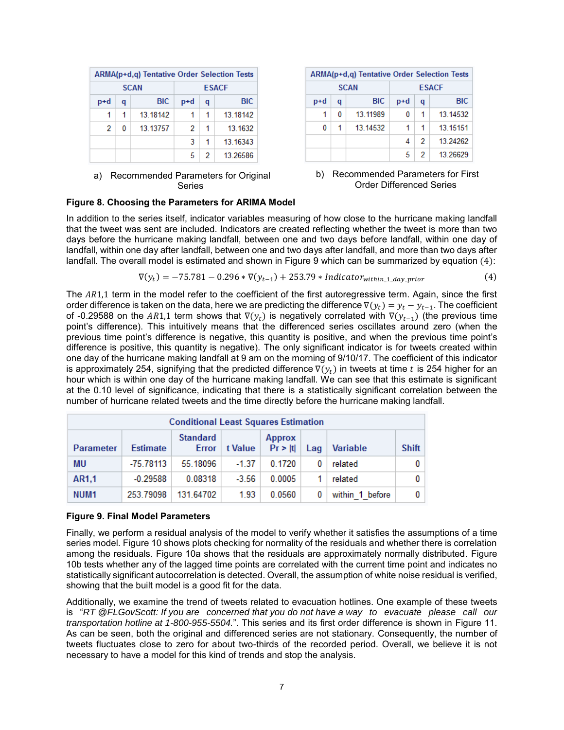| <b>ARMA(p+d,q) Tentative Order Selection Tests</b> |   |          |   |            |              |
|----------------------------------------------------|---|----------|---|------------|--------------|
| <b>SCAN</b>                                        |   |          |   |            | <b>ESACF</b> |
| <b>BIC</b><br>p+d<br>a                             |   | p+d      | q | <b>BIC</b> |              |
|                                                    | 1 | 13,18142 |   | 1          | 13,18142     |
| 2                                                  | 0 | 13.13757 | 2 | 1          | 13.1632      |
|                                                    |   |          | з | 1          | 13.16343     |
|                                                    |   |          | 5 | 2          | 13.26586     |

a) Recommended Parameters for Original Series

|     | ARMA(p+d,q) Tentative Order Selection Tests |             |     |            |              |
|-----|---------------------------------------------|-------------|-----|------------|--------------|
|     |                                             | <b>SCAN</b> |     |            | <b>ESACF</b> |
| p+d | a                                           | <b>BIC</b>  | p+d | q          | <b>BIC</b>   |
| 1   | 0                                           | 13.11989    | 0   | 1          | 13.14532     |
| 0   |                                             | 13 14532    |     | 1          | 13 15 15 1   |
|     |                                             | 4           | 2   | 13 24 26 2 |              |
|     |                                             |             | 5   | 2          | 13.26629     |

#### b) Recommended Parameters for First Order Differenced Series

#### <span id="page-6-0"></span>**Figure 8. Choosing the Parameters for ARIMA Model**

In addition to the series itself, indicator variables measuring of how close to the hurricane making landfall that the tweet was sent are included. Indicators are created reflecting whether the tweet is more than two days before the hurricane making landfall, between one and two days before landfall, within one day of landfall, within one day after landfall, between one and two days after landfall, and more than two days after landfall. The overall model is estimated and shown in [Figure 9](#page-6-1) which can be summarized by equation (4):

$$
\nabla(y_t) = -75.781 - 0.296 * \nabla(y_{t-1}) + 253.79 * \nIndicator_{within_1 \text{day\_prior}} \tag{4}
$$

The AR1,1 term in the model refer to the coefficient of the first autoregressive term. Again, since the first order difference is taken on the data, here we are predicting the difference  $\nabla (\mathbf{\hat{y}}_t)=\mathbf{\hat{y}}_t-\mathbf{\hat{y}}_{t-1}.$  The coefficient of -0.29588 on the AR1,1 term shows that  $\nabla(y_t)$  is negatively correlated with  $\nabla(y_{t-1})$  (the previous time point's difference). This intuitively means that the differenced series oscillates around zero (when the previous time point's difference is negative, this quantity is positive, and when the previous time point's difference is positive, this quantity is negative). The only significant indicator is for tweets created within one day of the hurricane making landfall at 9 am on the morning of 9/10/17. The coefficient of this indicator is approximately 254, signifying that the predicted difference  $\nabla(y_t)$  in tweets at time t is 254 higher for an hour which is within one day of the hurricane making landfall. We can see that this estimate is significant at the 0.10 level of significance, indicating that there is a statistically significant correlation between the number of hurricane related tweets and the time directly before the hurricane making landfall.

| <b>Conditional Least Squares Estimation</b> |                 |                                 |         |                          |     |                 |              |
|---------------------------------------------|-----------------|---------------------------------|---------|--------------------------|-----|-----------------|--------------|
| <b>Parameter</b>                            | <b>Estimate</b> | <b>Standard</b><br><b>Error</b> | t Value | <b>Approx</b><br>Pr >  t | Lag | <b>Variable</b> | <b>Shift</b> |
| MU                                          | -75.78113       | 55.18096                        | $-1.37$ | 0.1720                   | 0   | related         | 0            |
| AR1,1                                       | $-0.29588$      | 0.08318                         | $-3.56$ | 0.0005                   |     | related         | 0            |
| NUM <sub>1</sub>                            | 253 79098       | 131 64702                       | 1.93    | 0.0560                   | 0   | within 1 before | 0            |

#### <span id="page-6-1"></span>**Figure 9. Final Model Parameters**

Finally, we perform a residual analysis of the model to verify whether it satisfies the assumptions of a time series model[. Figure 10](#page-7-0) shows plots checking for normality of the residuals and whether there is correlation among the residuals. Figure 10a shows that the residuals are approximately normally distributed. Figure 10b tests whether any of the lagged time points are correlated with the current time point and indicates no statistically significant autocorrelation is detected. Overall, the assumption of white noise residual is verified, showing that the built model is a good fit for the data.

Additionally, we examine the trend of tweets related to evacuation hotlines. One example of these tweets is "*RT @FLGovScott: If you are concerned that you do not have a way to evacuate please call our transportation hotline at 1-800-955-5504.*". This series and its first order difference is shown in [Figure 11.](#page-7-1) As can be seen, both the original and differenced series are not stationary. Consequently, the number of tweets fluctuates close to zero for about two-thirds of the recorded period. Overall, we believe it is not necessary to have a model for this kind of trends and stop the analysis.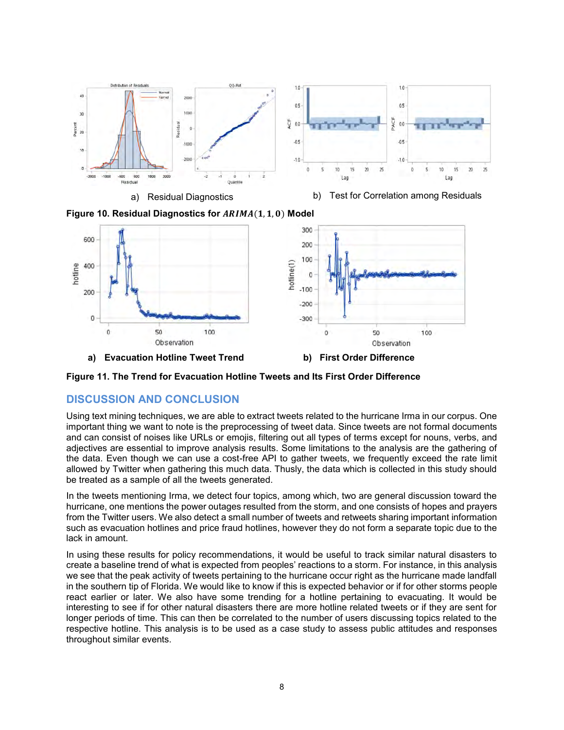

a) Residual Diagnostics b) Test for Correlation among Residuals

<span id="page-7-0"></span>



<span id="page-7-1"></span>**Figure 11. The Trend for Evacuation Hotline Tweets and Its First Order Difference**

# **DISCUSSION AND CONCLUSION**

Using text mining techniques, we are able to extract tweets related to the hurricane Irma in our corpus. One important thing we want to note is the preprocessing of tweet data. Since tweets are not formal documents and can consist of noises like URLs or emojis, filtering out all types of terms except for nouns, verbs, and adjectives are essential to improve analysis results. Some limitations to the analysis are the gathering of the data. Even though we can use a cost-free API to gather tweets, we frequently exceed the rate limit allowed by Twitter when gathering this much data. Thusly, the data which is collected in this study should be treated as a sample of all the tweets generated.

In the tweets mentioning Irma, we detect four topics, among which, two are general discussion toward the hurricane, one mentions the power outages resulted from the storm, and one consists of hopes and prayers from the Twitter users. We also detect a small number of tweets and retweets sharing important information such as evacuation hotlines and price fraud hotlines, however they do not form a separate topic due to the lack in amount.

In using these results for policy recommendations, it would be useful to track similar natural disasters to create a baseline trend of what is expected from peoples' reactions to a storm. For instance, in this analysis we see that the peak activity of tweets pertaining to the hurricane occur right as the hurricane made landfall in the southern tip of Florida. We would like to know if this is expected behavior or if for other storms people react earlier or later. We also have some trending for a hotline pertaining to evacuating. It would be interesting to see if for other natural disasters there are more hotline related tweets or if they are sent for longer periods of time. This can then be correlated to the number of users discussing topics related to the respective hotline. This analysis is to be used as a case study to assess public attitudes and responses throughout similar events.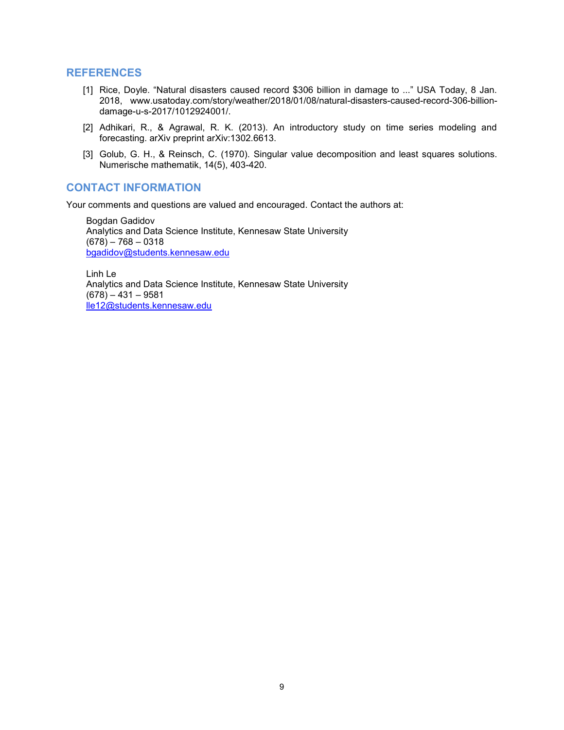#### <span id="page-8-0"></span>**REFERENCES**

- [1] Rice, Doyle. "Natural disasters caused record \$306 billion in damage to ..." USA Today, 8 Jan. 2018, www.usatoday.com/story/weather/2018/01/08/natural-disasters-caused-record-306-billiondamage-u-s-2017/1012924001/.
- <span id="page-8-1"></span>[2] Adhikari, R., & Agrawal, R. K. (2013). An introductory study on time series modeling and forecasting. arXiv preprint arXiv:1302.6613.
- [3] Golub, G. H., & Reinsch, C. (1970). Singular value decomposition and least squares solutions. Numerische mathematik, 14(5), 403-420.

### **CONTACT INFORMATION**

Your comments and questions are valued and encouraged. Contact the authors at:

Bogdan Gadidov Analytics and Data Science Institute, Kennesaw State University  $(678) - 768 - 0318$ [bgadidov@students.kennesaw.edu](mailto:bgadidov@students.kennesaw.edu)

Linh Le Analytics and Data Science Institute, Kennesaw State University  $(678) - 431 - 9581$ [lle12@students.kennesaw.edu](mailto:lle12@students.kennesaw.edu)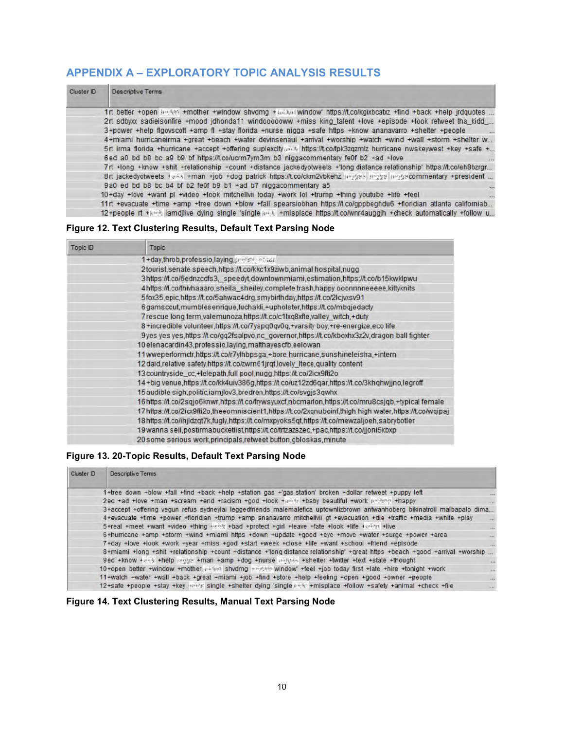# <span id="page-9-0"></span>**APPENDIX A – EXPLORATORY TOPIC ANALYSIS RESULTS**

| Cluster ID | <b>Descriptive Terms</b>                                                                                                |
|------------|-------------------------------------------------------------------------------------------------------------------------|
|            | 1rt better +open ho km +mother +window shvdmg + milker window https://t.co/kgixbcabz +find +back +help jrdguotes        |
|            | 2rt sdbyxx sadieisonfire +mood jdhonda11 windoooooww +miss king talent +love +episode +look retweet tha kidd            |
|            | 3+power +help floovscott +amp fl +stay florida +nurse nigga +safe https +know ananayarro +shelter +people               |
|            | 4+miami hurricaneirma +great +beach +water devinsenaui +arrival +worship +watch +wind +wall +storm +shelter w           |
|            | 5rt irma florida +hurricane +accept +offering suplexcity and https://t.co/fpk3zqzmlz hurricane nwskeywest +key +safe +  |
|            | 6ed a0 bd b8 bc a9 b9 bf https://t.co/ucrm7yrn3m b3 niggacommentary fe0f b2 +ad +love                                   |
|            | 7rt +long +know +shit +relationship +count +distance jackedyotweets +'long distance relationship' https://t.co/eh8bzrgr |
|            | 8rt jackedyotweets +a4s +man +job +dog patrick https://t.co/ckm2vbkehz angass mage impasecommentary +president          |
|            | 9a0 ed bd b8 bc b4 bf b2 fe0f b9 b1 +ad b7 niqqacommentary a5                                                           |
|            | 10+day +love +want pl +yideo +look mitchellvii today +work lol +trump +thing youtube +life +feel<br>$\dddot{\bullet}$   |
|            | 11 rt +evacuate +time +amp +tree down +blow +fall spearsiobhan https://t.co/gppbeghdu6 +floridian atlanta californiab   |
|            | 12+people rt +and lamdilive dying single 'single and +misplace https://t.co/wnr4auggih +check automatically +follow u   |

### **Figure 12. Text Clustering Results, Default Text Parsing Node**

| Topic ID | <b>Topic</b>                                                                                            |
|----------|---------------------------------------------------------------------------------------------------------|
|          | 1+day,throb,professio,laying,presserved                                                                 |
|          | 2tourist, senate speech, https://t.co/kkc1x9ziwb, animal hospital, nugg                                 |
|          | 3https://t.co/6ednzcdfs3, speedyt.downtownmiami.estimation.https://t.co/b15kwklpwu                      |
|          | 4https://t.co/thivhaaaro.sheila_sheiley.complete trash.happy ooonnnneeeee,kittyknits                    |
|          | 5fox35,epic.https://t.co/5ahwac4drg.smybirthday.https://t.co/2lcjvxsv91                                 |
|          | 6 gamscout, mumbles enrique, luchakli, +upholster, https://t.co/mbqjedacty                              |
|          | 7 rescue long term, valemunoza, https://t.co/c1lxq8xfte, valley_witch, +duty                            |
|          | 8+incredible volunteer,https://t.co/7yspq0qv0q,+varsity boy,+re-energize,eco life                       |
|          | 9yes yes yes,https://t.co/gq2fsalpvo.nc_governor,https://t.co/kboxhx3z2v,dragon ball fighter            |
|          | 10 elenacardin43, professio, laying, matthayes cfb, eelowan                                             |
|          | 11wweperformctr.https://t.co/r7ylhbpsga.+bore hurricane.sunshineleisha.+intern                          |
|          | 12 daid, relative safety, https://t.co/zwrn61jrqt, lovely_Itece, quality content                        |
|          | 13 countryside_cc,+telepath,full pool,nugg,https://t.co/2icx9fti2o                                      |
|          | 14+big venue,https://t.co/kk4uiv386g.https://t.co/uz12zd6gar.https://t.co/3khghwjjno.legroff            |
|          | 15 audible sigh, politic, iamjlov3, bredren, https://t.co/svgjs3qwhx                                    |
|          | 16https://t.co/2sqjo6knwr,https://t.co/frywsyuxcf,nbcmarlon,https://t.co/mru8csjqb,+typical female      |
|          | 17 https://t.co/2icx9fti2o.theeomniscient1.https://t.co/2xgnuboinf.thigh high water.https://t.co/wgipaj |
|          | 18https://t.co/ihjldzqt7k.fugly.https://t.co/mxpyoks5qt.https://t.co/mewzaljoeh.sabrybotler             |
|          | 19 wanna sell, postirmabucketlist, https://t.co/trtzazszec.+pac.https://t.co/jjonl5kbxp                 |
|          | 20 some serious work principals retweet button gbloskas minute                                          |

### **Figure 13. 20-Topic Results, Default Text Parsing Node**

| Cluster ID | <b>Descriptive Terms</b>                                                                                                     |                          |
|------------|------------------------------------------------------------------------------------------------------------------------------|--------------------------|
|            | 1+tree down +blow +fall +find +back +help +station gas +'gas station' broken +dollar retweet +puppy left                     |                          |
|            | 2ed +ad +love +man +scream +end +racism +god +look +pinth +baby beautiful +work junking +happy                               |                          |
|            | 3+accept +offering vegun refus sydneylai leggedfriends malemalefica uptownlizbrown antwanhoberg bikinatroll malbapalo dima   |                          |
|            | 4+evacuate +time +power +floridian +trump +amp ananavarro mitchellvii gt +evacuation +die +traffic +media +white +play       |                          |
|            | 5+real +meet +want +video +thing +ethit +bad +protect +girl +leave +fate +look +life +colon +live                            |                          |
|            | 6+hurricane +amp +storm +wind +miami https +down +update +good +eye +move +water +surge +power +area                         | lisie)                   |
|            | 7+day +love +look +work +year +miss +god +start +week +close +life +want +school +friend +episode                            | $\overline{\phantom{a}}$ |
|            | 8+miami +long +shit +relationship +count +distance +'long distance relationship' +great https +beach +good +arrival +worship |                          |
|            | 9ed +know +ass +help proge +man +amp +dog +nurse miners +shelter +twitter +text +state +thought                              |                          |
|            | 10+open better +window +mother (16%) shydmg +mother window +feel +job today first +late +hire +tonight +work                 | $rac{1}{2}$              |
|            | 11+watch +water +wall +back +great +miami +job +find +store +help +feeling +open +good +owner +people                        | $\overline{a}$           |
|            |                                                                                                                              | 14.64                    |

### **Figure 14. Text Clustering Results, Manual Text Parsing Node**